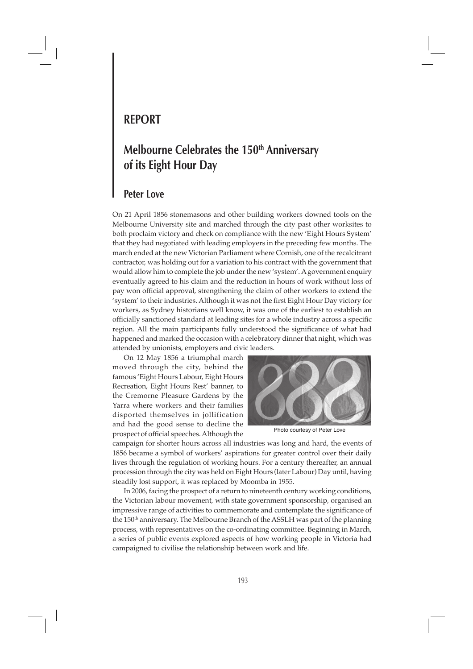## **REPORT**

# **Melbourne Celebrates the 150th Anniversary of its Eight Hour Day**

### **Peter Love**

On 21 April 1856 stonemasons and other building workers downed tools on the Melbourne University site and marched through the city past other worksites to both proclaim victory and check on compliance with the new 'Eight Hours System' that they had negotiated with leading employers in the preceding few months. The march ended at the new Victorian Parliament where Cornish, one of the recalcitrant contractor, was holding out for a variation to his contract with the government that would allow him to complete the job under the new 'system'. A government enquiry eventually agreed to his claim and the reduction in hours of work without loss of pay won official approval, strengthening the claim of other workers to extend the 'system' to their industries. Although it was not the first Eight Hour Day victory for workers, as Sydney historians well know, it was one of the earliest to establish an officially sanctioned standard at leading sites for a whole industry across a specific region. All the main participants fully understood the significance of what had happened and marked the occasion with a celebratory dinner that night, which was attended by unionists, employers and civic leaders.

 On 12 May 1856 a triumphal march moved through the city, behind the famous 'Eight Hours Labour, Eight Hours Recreation, Eight Hours Rest' banner, to the Cremorne Pleasure Gardens by the Yarra where workers and their families disported themselves in jollification and had the good sense to decline the prospect of official speeches. Although the



Photo courtesy of Peter Love

campaign for shorter hours across all industries was long and hard, the events of 1856 became a symbol of workers' aspirations for greater control over their daily lives through the regulation of working hours. For a century thereafter, an annual procession through the city was held on Eight Hours (later Labour) Day until, having steadily lost support, it was replaced by Moomba in 1955.

 In 2006, facing the prospect of a return to nineteenth century working conditions, the Victorian labour movement, with state government sponsorship, organised an impressive range of activities to commemorate and contemplate the significance of the 150<sup>th</sup> anniversary. The Melbourne Branch of the ASSLH was part of the planning process, with representatives on the co-ordinating committee. Beginning in March, a series of public events explored aspects of how working people in Victoria had campaigned to civilise the relationship between work and life.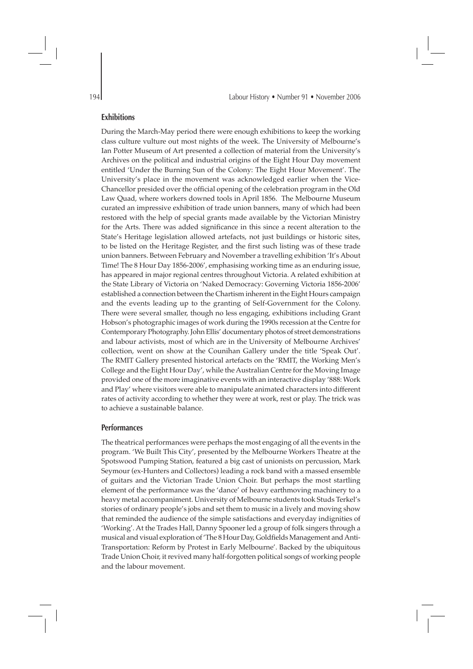#### **Exhibitions**

During the March-May period there were enough exhibitions to keep the working class culture vulture out most nights of the week. The University of Melbourne's Ian Potter Museum of Art presented a collection of material from the University's Archives on the political and industrial origins of the Eight Hour Day movement entitled 'Under the Burning Sun of the Colony: The Eight Hour Movement'. The University's place in the movement was acknowledged earlier when the Vice-Chancellor presided over the official opening of the celebration program in the Old Law Quad, where workers downed tools in April 1856. The Melbourne Museum curated an impressive exhibition of trade union banners, many of which had been restored with the help of special grants made available by the Victorian Ministry for the Arts. There was added significance in this since a recent alteration to the State's Heritage legislation allowed artefacts, not just buildings or historic sites, to be listed on the Heritage Register, and the first such listing was of these trade union banners. Between February and November a travelling exhibition 'It's About Time! The 8 Hour Day 1856-2006', emphasising working time as an enduring issue, has appeared in major regional centres throughout Victoria. A related exhibition at the State Library of Victoria on 'Naked Democracy: Governing Victoria 1856-2006' established a connection between the Chartism inherent in the Eight Hours campaign and the events leading up to the granting of Self-Government for the Colony. There were several smaller, though no less engaging, exhibitions including Grant Hobson's photographic images of work during the 1990s recession at the Centre for Contemporary Photography. John Ellis' documentary photos of street demonstrations and labour activists, most of which are in the University of Melbourne Archives' collection, went on show at the Counihan Gallery under the title 'Speak Out'. The RMIT Gallery presented historical artefacts on the 'RMIT, the Working Men's College and the Eight Hour Day', while the Australian Centre for the Moving Image provided one of the more imaginative events with an interactive display '888: Work and Play' where visitors were able to manipulate animated characters into different rates of activity according to whether they were at work, rest or play. The trick was to achieve a sustainable balance.

#### **Performances**

The theatrical performances were perhaps the most engaging of all the events in the program. 'We Built This City', presented by the Melbourne Workers Theatre at the Spotswood Pumping Station, featured a big cast of unionists on percussion, Mark Seymour (ex-Hunters and Collectors) leading a rock band with a massed ensemble of guitars and the Victorian Trade Union Choir. But perhaps the most startling element of the performance was the 'dance' of heavy earthmoving machinery to a heavy metal accompaniment. University of Melbourne students took Studs Terkel's stories of ordinary people's jobs and set them to music in a lively and moving show that reminded the audience of the simple satisfactions and everyday indignities of 'Working'. At the Trades Hall, Danny Spooner led a group of folk singers through a musical and visual exploration of 'The 8 Hour Day, Goldfields Management and Anti-Transportation: Reform by Protest in Early Melbourne'. Backed by the ubiquitous Trade Union Choir, it revived many half-forgotten political songs of working people and the labour movement.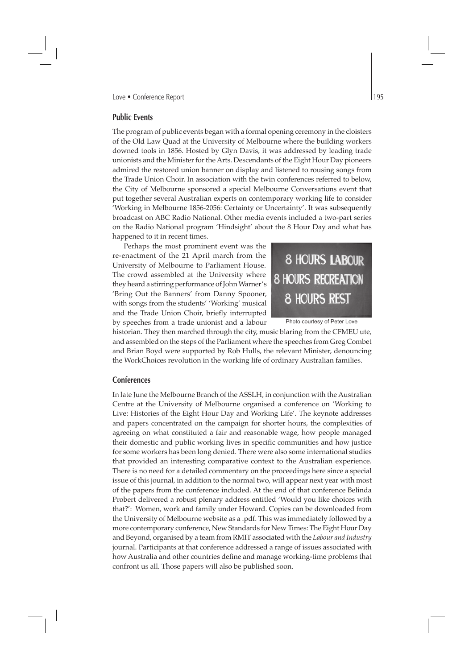#### **Public Events**

The program of public events began with a formal opening ceremony in the cloisters of the Old Law Quad at the University of Melbourne where the building workers downed tools in 1856. Hosted by Glyn Davis, it was addressed by leading trade unionists and the Minister for the Arts. Descendants of the Eight Hour Day pioneers admired the restored union banner on display and listened to rousing songs from the Trade Union Choir. In association with the twin conferences referred to below, the City of Melbourne sponsored a special Melbourne Conversations event that put together several Australian experts on contemporary working life to consider 'Working in Melbourne 1856-2056: Certainty or Uncertainty'. It was subsequently broadcast on ABC Radio National. Other media events included a two-part series on the Radio National program 'Hindsight' about the 8 Hour Day and what has happened to it in recent times.

 Perhaps the most prominent event was the re-enactment of the 21 April march from the University of Melbourne to Parliament House. The crowd assembled at the University where they heard a stirring performance of John Warner's 'Bring Out the Banners' from Danny Spooner, with songs from the students' 'Working' musical and the Trade Union Choir, briefly interrupted by speeches from a trade unionist and a labour



Photo courtesy of Peter Love

historian. They then marched through the city, music blaring from the CFMEU ute, and assembled on the steps of the Parliament where the speeches from Greg Combet and Brian Boyd were supported by Rob Hulls, the relevant Minister, denouncing the WorkChoices revolution in the working life of ordinary Australian families.

#### **Conferences**

In late June the Melbourne Branch of the ASSLH, in conjunction with the Australian Centre at the University of Melbourne organised a conference on 'Working to Live: Histories of the Eight Hour Day and Working Life'. The keynote addresses and papers concentrated on the campaign for shorter hours, the complexities of agreeing on what constituted a fair and reasonable wage, how people managed their domestic and public working lives in specific communities and how justice for some workers has been long denied. There were also some international studies that provided an interesting comparative context to the Australian experience. There is no need for a detailed commentary on the proceedings here since a special issue of this journal, in addition to the normal two, will appear next year with most of the papers from the conference included. At the end of that conference Belinda Probert delivered a robust plenary address entitled 'Would you like choices with that?': Women, work and family under Howard. Copies can be downloaded from the University of Melbourne website as a .pdf. This was immediately followed by a more contemporary conference, New Standards for New Times: The Eight Hour Day and Beyond, organised by a team from RMIT associated with the *Labour and Industry* journal. Participants at that conference addressed a range of issues associated with how Australia and other countries define and manage working-time problems that confront us all. Those papers will also be published soon.